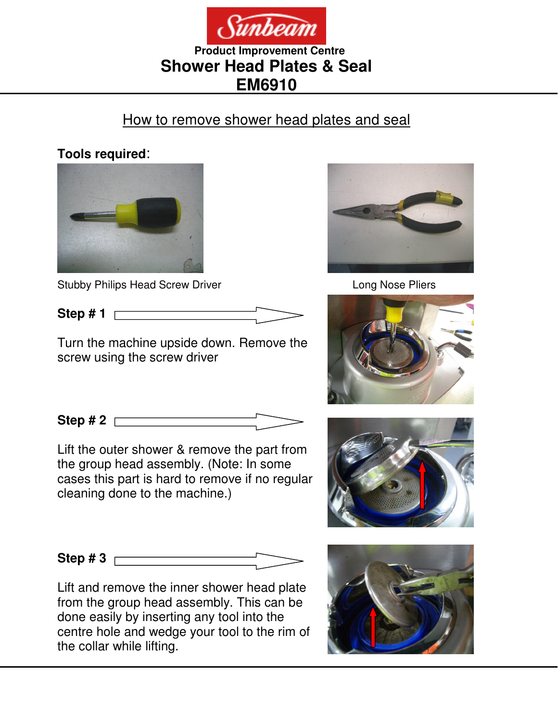

### **Product Improvement Centre Shower Head Plates & Seal EM6910**

# How to remove shower head plates and seal

#### **Tools required**:



Stubby Philips Head Screw Driver Long Nose Pliers

**Step # 1** 

Turn the machine upside down. Remove the screw using the screw driver

**Step # 2** 

Lift the outer shower & remove the part from the group head assembly. (Note: In some cases this part is hard to remove if no regular cleaning done to the machine.)

**Step # 3** 

Lift and remove the inner shower head plate from the group head assembly. This can be done easily by inserting any tool into the centre hole and wedge your tool to the rim of the collar while lifting.